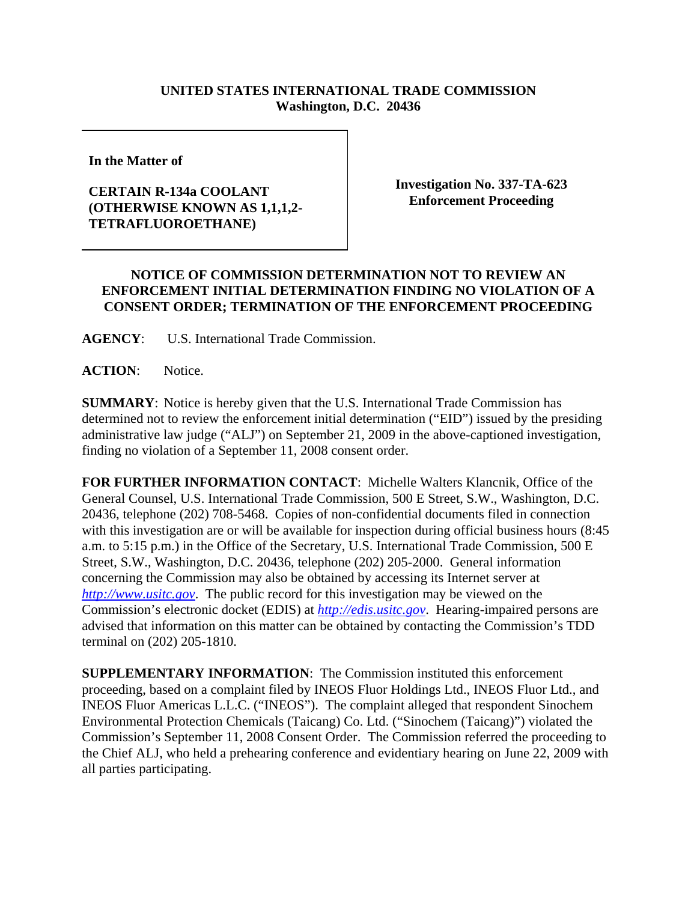## **UNITED STATES INTERNATIONAL TRADE COMMISSION Washington, D.C. 20436**

**In the Matter of** 

## **CERTAIN R-134a COOLANT (OTHERWISE KNOWN AS 1,1,1,2- TETRAFLUOROETHANE)**

**Investigation No. 337-TA-623 Enforcement Proceeding**

## **NOTICE OF COMMISSION DETERMINATION NOT TO REVIEW AN ENFORCEMENT INITIAL DETERMINATION FINDING NO VIOLATION OF A CONSENT ORDER; TERMINATION OF THE ENFORCEMENT PROCEEDING**

**AGENCY**: U.S. International Trade Commission.

**ACTION**: Notice.

**SUMMARY**: Notice is hereby given that the U.S. International Trade Commission has determined not to review the enforcement initial determination ("EID") issued by the presiding administrative law judge ("ALJ") on September 21, 2009 in the above-captioned investigation, finding no violation of a September 11, 2008 consent order.

**FOR FURTHER INFORMATION CONTACT**: Michelle Walters Klancnik, Office of the General Counsel, U.S. International Trade Commission, 500 E Street, S.W., Washington, D.C. 20436, telephone (202) 708-5468. Copies of non-confidential documents filed in connection with this investigation are or will be available for inspection during official business hours (8:45 a.m. to 5:15 p.m.) in the Office of the Secretary, U.S. International Trade Commission, 500 E Street, S.W., Washington, D.C. 20436, telephone (202) 205-2000. General information concerning the Commission may also be obtained by accessing its Internet server at *http://www.usitc.gov*. The public record for this investigation may be viewed on the Commission's electronic docket (EDIS) at *http://edis.usitc.gov*. Hearing-impaired persons are advised that information on this matter can be obtained by contacting the Commission's TDD terminal on (202) 205-1810.

**SUPPLEMENTARY INFORMATION**: The Commission instituted this enforcement proceeding, based on a complaint filed by INEOS Fluor Holdings Ltd., INEOS Fluor Ltd., and INEOS Fluor Americas L.L.C. ("INEOS"). The complaint alleged that respondent Sinochem Environmental Protection Chemicals (Taicang) Co. Ltd. ("Sinochem (Taicang)") violated the Commission's September 11, 2008 Consent Order. The Commission referred the proceeding to the Chief ALJ, who held a prehearing conference and evidentiary hearing on June 22, 2009 with all parties participating.